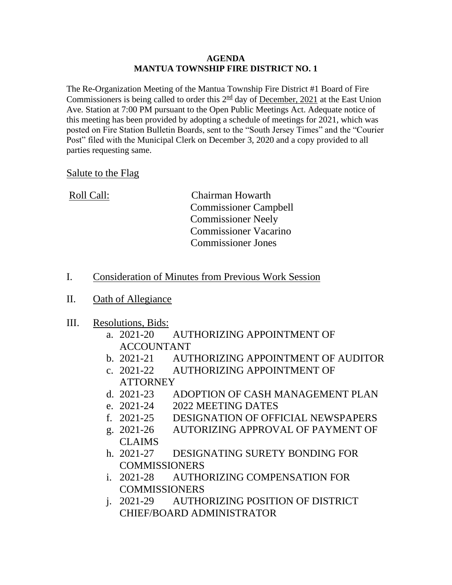## **AGENDA MANTUA TOWNSHIP FIRE DISTRICT NO. 1**

The Re-Organization Meeting of the Mantua Township Fire District #1 Board of Fire Commissioners is being called to order this  $2<sup>nd</sup>$  day of <u>December, 2021</u> at the East Union Ave. Station at 7:00 PM pursuant to the Open Public Meetings Act. Adequate notice of this meeting has been provided by adopting a schedule of meetings for 2021, which was posted on Fire Station Bulletin Boards, sent to the "South Jersey Times" and the "Courier Post" filed with the Municipal Clerk on December 3, 2020 and a copy provided to all parties requesting same.

## Salute to the Flag

| Roll Call: | <b>Chairman Howarth</b>      |
|------------|------------------------------|
|            | <b>Commissioner Campbell</b> |
|            | <b>Commissioner Neely</b>    |
|            | <b>Commissioner Vacarino</b> |
|            | <b>Commissioner Jones</b>    |
|            |                              |

## I. Consideration of Minutes from Previous Work Session

II. Oath of Allegiance

## III. Resolutions, Bids:

- a. 2021-20 AUTHORIZING APPOINTMENT OF **ACCOUNTANT**
- b. 2021-21 AUTHORIZING APPOINTMENT OF AUDITOR
- c. 2021-22 AUTHORIZING APPOINTMENT OF **ATTORNEY**
- d. 2021-23 ADOPTION OF CASH MANAGEMENT PLAN
- e. 2021-24 2022 MEETING DATES
- f. 2021-25 DESIGNATION OF OFFICIAL NEWSPAPERS
- g. 2021-26 AUTORIZING APPROVAL OF PAYMENT OF CLAIMS
- h. 2021-27 DESIGNATING SURETY BONDING FOR **COMMISSIONERS**
- i. 2021-28 AUTHORIZING COMPENSATION FOR **COMMISSIONERS**
- j. 2021-29 AUTHORIZING POSITION OF DISTRICT CHIEF/BOARD ADMINISTRATOR